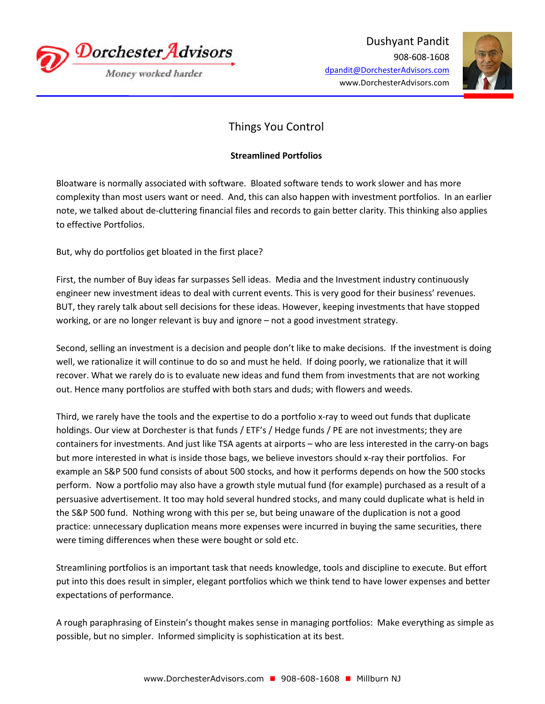

Dushyant Pandit 908-608-1608 dpandit@DorchesterAdvisors.com www.DorchesterAdvisors.com



## Things You Control

## **Streamlined Portfolios**

Bloatware is normally associated with software. Bloated software tends to work slower and has more complexity than most users want or need. And, this can also happen with investment portfolios. In an earlier note, we talked about de-cluttering financial files and records to gain better clarity. This thinking also applies to effective Portfolios.

But, why do portfolios get bloated in the first place?

First, the number of Buy ideas far surpasses Sell ideas. Media and the Investment industry continuously engineer new investment ideas to deal with current events. This is very good for their business' revenues. BUT, they rarely talk about sell decisions for these ideas. However, keeping investments that have stopped working, or are no longer relevant is buy and ignore – not a good investment strategy.

Second, selling an investment is a decision and people don't like to make decisions. If the investment is doing well, we rationalize it will continue to do so and must he held. If doing poorly, we rationalize that it will recover. What we rarely do is to evaluate new ideas and fund them from investments that are not working out. Hence many portfolios are stuffed with both stars and duds; with flowers and weeds.

Third, we rarely have the tools and the expertise to do a portfolio x-ray to weed out funds that duplicate holdings. Our view at Dorchester is that funds / ETF's / Hedge funds / PE are not investments; they are containers for investments. And just like TSA agents at airports – who are less interested in the carry-on bags but more interested in what is inside those bags, we believe investors should x-ray their portfolios. For example an S&P 500 fund consists of about 500 stocks, and how it performs depends on how the 500 stocks perform. Now a portfolio may also have a growth style mutual fund (for example) purchased as a result of a persuasive advertisement. It too may hold several hundred stocks, and many could duplicate what is held in the S&P 500 fund. Nothing wrong with this per se, but being unaware of the duplication is not a good practice: unnecessary duplication means more expenses were incurred in buying the same securities, there were timing differences when these were bought or sold etc.

Streamlining portfolios is an important task that needs knowledge, tools and discipline to execute. But effort put into this does result in simpler, elegant portfolios which we think tend to have lower expenses and better expectations of performance.

A rough paraphrasing of Einstein's thought makes sense in managing portfolios: Make everything as simple as possible, but no simpler. Informed simplicity is sophistication at its best.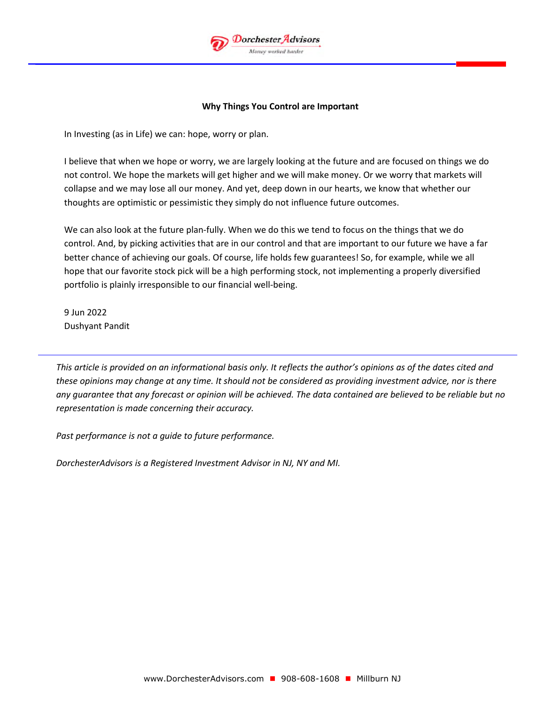

## **Why Things You Control are Important**

In Investing (as in Life) we can: hope, worry or plan.

I believe that when we hope or worry, we are largely looking at the future and are focused on things we do not control. We hope the markets will get higher and we will make money. Or we worry that markets will collapse and we may lose all our money. And yet, deep down in our hearts, we know that whether our thoughts are optimistic or pessimistic they simply do not influence future outcomes.

We can also look at the future plan-fully. When we do this we tend to focus on the things that we do control. And, by picking activities that are in our control and that are important to our future we have a far better chance of achieving our goals. Of course, life holds few guarantees! So, for example, while we all hope that our favorite stock pick will be a high performing stock, not implementing a properly diversified portfolio is plainly irresponsible to our financial well-being.

9 Jun 2022 Dushyant Pandit

*This article is provided on an informational basis only. It reflects the author's opinions as of the dates cited and these opinions may change at any time. It should not be considered as providing investment advice, nor is there any guarantee that any forecast or opinion will be achieved. The data contained are believed to be reliable but no representation is made concerning their accuracy.*

*Past performance is not a guide to future performance.*

*DorchesterAdvisors is a Registered Investment Advisor in NJ, NY and MI.*